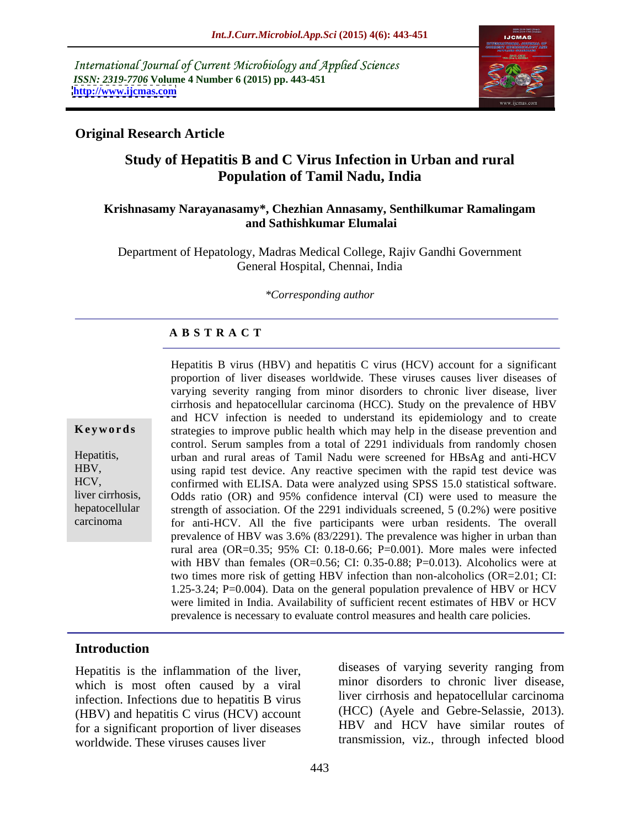International Journal of Current Microbiology and Applied Sciences *ISSN: 2319-7706* **Volume 4 Number 6 (2015) pp. 443-451 <http://www.ijcmas.com>**



### **Original Research Article**

# **Study of Hepatitis B and C Virus Infection in Urban and rural Population of Tamil Nadu, India**

#### **Krishnasamy Narayanasamy\*, Chezhian Annasamy, Senthilkumar Ramalingam and Sathishkumar Elumalai**

Department of Hepatology, Madras Medical College, Rajiv Gandhi Government General Hospital, Chennai, India

*\*Corresponding author*

#### **A B S T R A C T**

carcinoma

Hepatitis B virus (HBV) and hepatitis C virus (HCV) account for a significant proportion of liver diseases worldwide. These viruses causes liver diseases of varying severity ranging from minor disorders to chronic liver disease, liver cirrhosis and hepatocellular carcinoma (HCC). Study on the prevalence of HBV and HCV infection is needed to understand its epidemiology and to create **Keywords** strategies to improve public health which may help in the disease prevention and control. Serum samples from a total of 2291 individuals from randomly chosen urban and rural areas of Tamil Nadu were screened for HBsAg and anti-HCV Hepatitis, using rapid test device. Any reactive specimen with the rapid test device was HBV, HCV, confirmed with ELISA. Data were analyzed using SPSS 15.0 statistical software. Odds ratio (OR) and 95% confidence interval (CI) were used to measure the liver cirrhosis, hepatocellular strength of association. Of the 2291 individuals screened, 5 (0.2%) were positive for anti-HCV. All the five participants were urban residents. The overall prevalence of HBV was 3.6% (83/2291). The prevalence was higher in urban than rural area (OR=0.35; 95% CI: 0.18-0.66; P=0.001). More males were infected with HBV than females (OR=0.56; CI: 0.35-0.88; P=0.013). Alcoholics were at two times more risk of getting HBV infection than non-alcoholics (OR=2.01; CI: 1.25-3.24; P=0.004). Data on the general population prevalence of HBV or HCV were limited in India. Availability of sufficient recent estimates of HBV or HCV prevalence is necessary to evaluate control measures and health care policies.

### **Introduction**

Hepatitis is the inflammation of the liver, which is most often caused by a viral infection. Infections due to hepatitis B virus (HBV) and hepatitis C virus (HCV) account for a significant proportion of liver diseases worldwide. These viruses causes liver

diseases of varying severity ranging from minor disorders to chronic liver disease, liver cirrhosis and hepatocellular carcinoma (HCC) (Ayele and Gebre-Selassie, 2013). HBV and HCV have similar routes of transmission, viz., through infected blood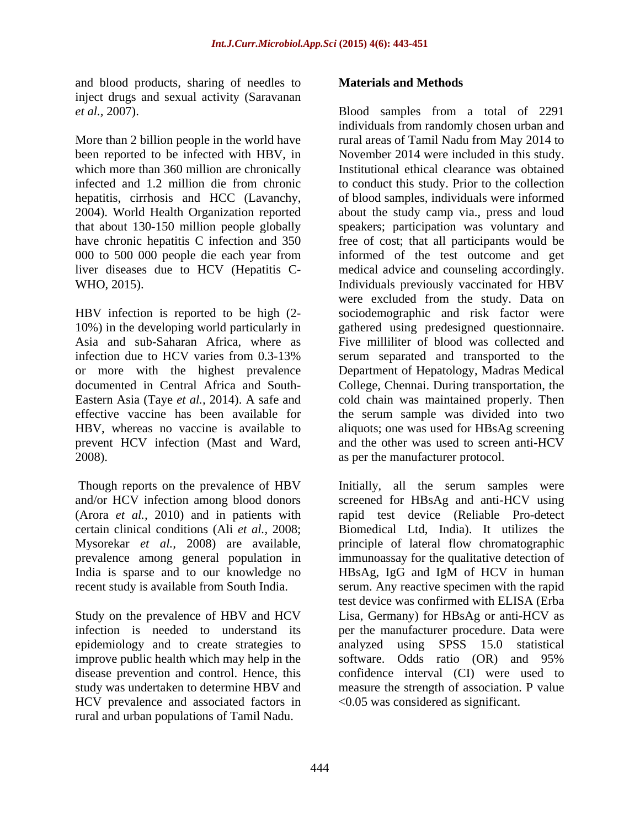and blood products, sharing of needles to **Materials and Methods** inject drugs and sexual activity (Saravanan

liver diseases due to HCV (Hepatitis C-

2008). as per the manufacturer protocol.

Though reports on the prevalence of HBV (Arora *et al.,* 2010) and in patients with recent study is available from South India.

epidemiology and to create strategies to analyzed using SPSS 15.0 statistical improve public health which may help in the software. Odds ratio (OR) and 95% HCV prevalence and associated factors in rural and urban populations of Tamil Nadu.

#### **Materials and Methods**

*et al.,* 2007). Blood samples from a total of 2291 More than 2 billion people in the world have rural areas of Tamil Nadu from May 2014 to been reported to be infected with HBV, in November 2014 were included in this study. which more than 360 million are chronically Institutional ethical clearance was obtained infected and 1.2 million die from chronic to conduct this study. Prior to the collection hepatitis, cirrhosis and HCC (Lavanchy, of blood samples, individuals were informed 2004). World Health Organization reported about the study camp via., press and loud that about 130-150 million people globally speakers; participation was voluntary and have chronic hepatitis C infection and 350 free of cost; that all participants would be 000 to 500 000 people die each year from WHO, 2015). Individuals previously vaccinated for HBV HBV infection is reported to be high (2- sociodemographic and risk factor were 10%) in the developing world particularly in gathered using predesigned questionnaire. Asia and sub-Saharan Africa, where as Five milliliter of blood was collected and infection due to HCV varies from 0.3-13% serum separated and transported to the or more with the highest prevalence Department of Hepatology, Madras Medical documented in Central Africa and South- College, Chennai. During transportation, the Eastern Asia (Taye *et al.,* 2014). A safe and cold chain was maintained properly. Then effective vaccine has been available for the serum sample was divided into two HBV, whereas no vaccine is available to aliquots; one was used for HBsAg screening prevent HCV infection (Mast and Ward, and the other was used to screen anti-HCV individuals from randomly chosen urban and informed of the test outcome and get medical advice and counseling accordingly. were excluded from the study. Data on

and/or HCV infection among blood donors screened for HBsAg and anti-HCV using certain clinical conditions (Ali *et al.,* 2008; Biomedical Ltd, India). It utilizes the Mysorekar *et al.,* 2008) are available, principle of lateral flow chromatographic prevalence among general population in immunoassay for the qualitative detection of India is sparse and to our knowledge no HBsAg, IgG and IgM of HCV in human Study on the prevalence of HBV and HCV Lisa, Germany) for HBsAg or anti-HCV as infection is needed to understand its per the manufacturer procedure. Data were disease prevention and control. Hence, this confidence interval (CI) were used to study was undertaken to determine HBV and measure the strength of association. P value Initially, all the serum samples were rapid test device (Reliable Pro-detect serum. Any reactive specimen with the rapid test device was confirmed with ELISA (Erba analyzed using  $SPSS$  15.0 software. Odds ratio (OR) and 95% <0.05 was considered as significant.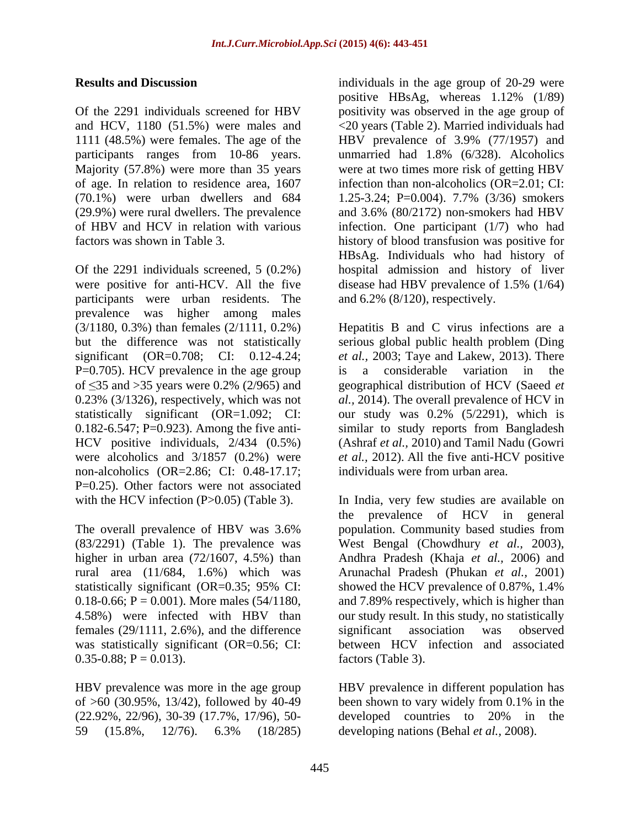1111 (48.5%) were females. The age of the  $HBV$  prevalence of 3.9% (77/1957) and participants ranges from 10-86 years.

participants were urban residents. The prevalence was higher among males P=0.705). HCV prevalence in the age group is a considerable variation in the 0.23% (3/1326), respectively, which was not non-alcoholics (OR=2.86; CI: 0.48-17.17; P=0.25). Other factors were not associated

4.58%) were infected with HBV than females (29/1111, 2.6%), and the difference significant association was observed was statistically significant (OR=0.56; CI:  $0.35-0.88; P = 0.013$ .

of  $>60$  (30.95%, 13/42), followed by 40-49 been shown to vary widely from 0.1% in the (22.92%, 22/96), 30-39 (17.7%, 17/96), 50-

**Results and Discussion individuals in the age group of 20-29 were** Of the 2291 individuals screened for HBV positivity was observed in the age group of and HCV, 1180 (51.5%) were males and <20 years (Table 2). Married individuals had Majority (57.8%) were more than 35 years were at two times more risk of getting HBV of age. In relation to residence area, 1607 infection than non-alcoholics (OR=2.01; CI: (70.1%) were urban dwellers and 684 1.25-3.24; P=0.004). 7.7% (3/36) smokers (29.9%) were rural dwellers. The prevalence and 3.6% (80/2172) non-smokers had HBV of HBV and HCV in relation with various infection. One participant (1/7) who had factors was shown in Table 3. history of blood transfusion was positive for Of the 2291 individuals screened, 5 (0.2%) hospital admission and history of liver were positive for anti-HCV. All the five disease had HBV prevalence of 1.5% (1/64) positive HBsAg, whereas 1.12% (1/89) HBV prevalence of 3.9% (77/1957) and unmarried had 1.8% (6/328). Alcoholics HBsAg. Individuals who had history of and 6.2% (8/120), respectively.

(3/1180, 0.3%) than females (2/1111, 0.2%) Hepatitis B and C virus infections are a but the difference was not statistically serious global public health problem (Ding significant (OR=0.708; CI: 0.12-4.24; *et al.,* 2003; Taye and Lakew, 2013). There of  $\leq$ 35 and >35 years were 0.2% (2/965) and geographical distribution of HCV (Saeed *et* statistically significant (OR=1.092; CI: our study was 0.2% (5/2291), which is 0.182-6.547; P=0.923). Among the five anti- similar to study reports from Bangladesh HCV positive individuals, 2/434 (0.5%) (Ashraf *et al.,* 2010) and Tamil Nadu (Gowri were alcoholics and 3/1857 (0.2%) were *et al.,* 2012). All the five anti-HCV positive is a considerable variation in the geographical distribution of HCV (Saeed *et al.,* 2014). The overall prevalence of HCV in individuals were from urban area.

with the HCV infection (P>0.05) (Table 3). In India, very few studies are available on The overall prevalence of HBV was 3.6% population. Community based studies from (83/2291) (Table 1). The prevalence was West Bengal (Chowdhury *et al.,* 2003), higher in urban area (72/1607, 4.5%) than Andhra Pradesh (Khaja *et al.,* 2006) and rural area (11/684, 1.6%) which was Arunachal Pradesh (Phukan *et al.,* 2001) statistically significant (OR=0.35; 95% CI: showed the HCV prevalence of 0.87%, 1.4%  $0.18-0.66$ ;  $P = 0.001$ ). More males (54/1180, and 7.89% respectively, which is higher than the prevalence of HCV in general population. Community based studies from showed the HCV prevalence of 0.87%, 1.4% our study result. In this study, no statistically significant association was observed between HCV infection and associated factors (Table 3).

HBV prevalence was more in the age group HBV prevalence in different population has 59 (15.8%, 12/76). 6.3% (18/285) developing nations (Behal *et al.*, 2008). been shown to vary widely from 0.1% in the developed countries to 20% in the developing nations (Behal *et al.,* 2008).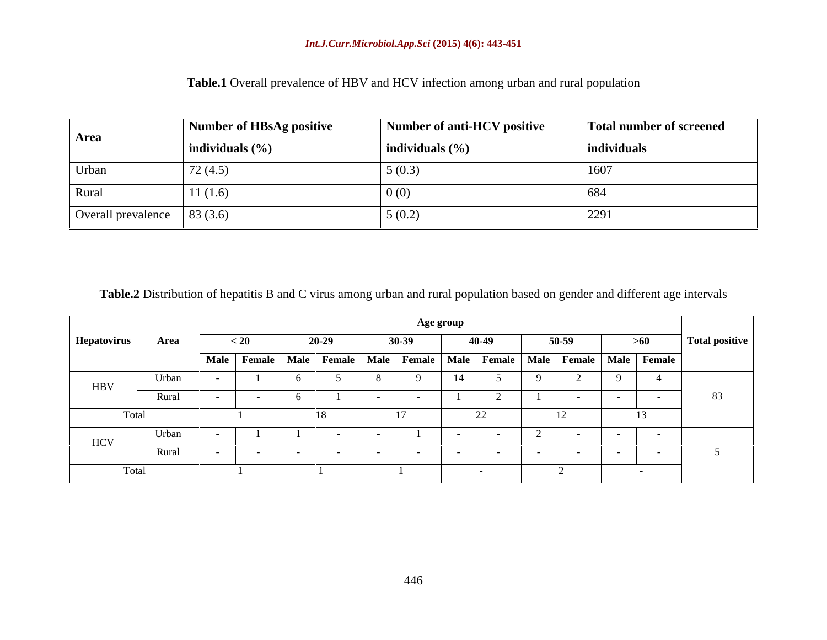|                                              | Number of HBsAg positive | Number of anti-HCV positive | Total number of screened |
|----------------------------------------------|--------------------------|-----------------------------|--------------------------|
| Area                                         | individuals $(\% )$      | individuals $(\% )$         | individuals              |
| Urban                                        | 72(4.5)                  | 5(0.3)                      | 1607                     |
| Rural                                        | 11(1.6)                  | $\pm 0$ (b,                 | 004                      |
| Overall prevalence $\left  83 (3.6) \right $ |                          | 5(0.2)                      | 229                      |

**Table.1** Overall prevalence of HBV and HCV infection among urban and rural population

**Table.2** Distribution of hepatitis B and C virus among urban and rural population based on gender and different age intervals

|             | Age group |                                                                                               |  |           |  |  |         |  |       |         |        |                |
|-------------|-----------|-----------------------------------------------------------------------------------------------|--|-----------|--|--|---------|--|-------|---------|--------|----------------|
| Hepatovirus | Area      | $\leq 20$                                                                                     |  | $20 - 29$ |  |  | $30-39$ |  | 40-49 | $50-59$ | >60    | Total positive |
|             |           | Male   Female   Male   Female   Male   Female   Male   Female   Male   Female   Male   Female |  |           |  |  |         |  |       |         |        |                |
| <b>HBV</b>  | Urban     |                                                                                               |  |           |  |  |         |  |       |         |        |                |
|             | Rural     |                                                                                               |  |           |  |  |         |  |       |         |        | 83             |
| Total       |           |                                                                                               |  |           |  |  |         |  | 22    | $\perp$ | $\sim$ |                |
| <b>HCV</b>  | Urban     |                                                                                               |  |           |  |  |         |  |       |         |        |                |
|             | Rural     |                                                                                               |  |           |  |  |         |  |       |         |        |                |
| Total       |           |                                                                                               |  |           |  |  |         |  |       |         |        |                |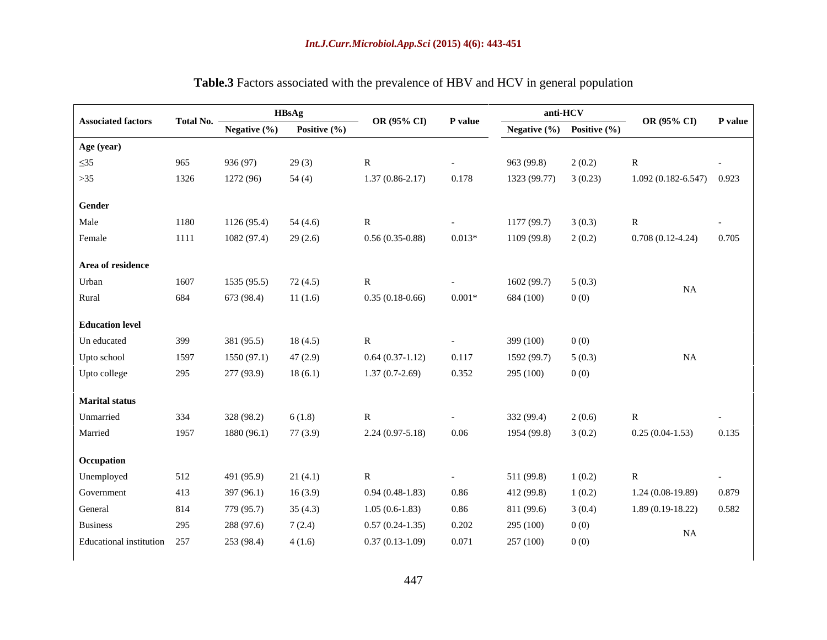|                             |      |                                      | <b>HBsAg</b>                    | OR (95% CI) P value    |            |                        | anti-HCV                          | OR $(95\% \text{ CI})$ P value |                          |
|-----------------------------|------|--------------------------------------|---------------------------------|------------------------|------------|------------------------|-----------------------------------|--------------------------------|--------------------------|
| <b>Associated factors</b>   |      | $Total No.$ $\overline{\phantom{a}}$ | Negative $(\%)$ Positive $(\%)$ |                        |            |                        | Negative $(\% )$ Positive $(\% )$ |                                |                          |
| Age (year)                  |      |                                      |                                 |                        |            |                        |                                   |                                |                          |
| $\leq$ 35                   | 965  | 936 (97)                             | 29(3)                           | $\mathbb{R}$           | $\sim$     | 963 (99.8)             | 2(0.2)                            | $\overline{R}$                 | $\sim 100$ km s $^{-1}$  |
| $>35$                       | 1326 | 1272 (96)                            | 54(4)                           | $1.37(0.86-2.17)$      | 0.178      | $1323(99.77)$ 3 (0.23) |                                   | $1.092(0.182 - 6.547)$ 0.923   |                          |
|                             |      |                                      |                                 |                        |            |                        |                                   |                                |                          |
| <b>Gender</b>               |      |                                      |                                 |                        |            |                        |                                   |                                |                          |
| Male                        | 1180 | 1126(95.4)                           | 54 (4.6)                        | R                      | $\sim$     | 1177(99.7)             | 3(0.3)                            | $\mathbb{R}$                   | <b>Contract Contract</b> |
| Female                      | 1111 | $1082(97.4)$ 29 (2.6)                |                                 | $0.56(0.35-0.88)$      | $0.013*$   | 1109 (99.8)            | 2(0.2)                            | $0.708(0.12-4.24)$ $0.705$     |                          |
| Area of residence           |      |                                      |                                 |                        |            |                        |                                   |                                |                          |
| Urban                       | 1607 | 1535(95.5)                           | 72 (4.5)                        | R                      | $\sim$     | $1602(99.7)$ 5 (0.3)   |                                   |                                |                          |
| Rural                       | 684  | 673 (98.4)                           | 11(1.6)                         | $0.35(0.18-0.66)$      | $0.001*$   | 684 (100)              | 0(0)                              | NA                             |                          |
|                             |      |                                      |                                 |                        |            |                        |                                   |                                |                          |
| <b>Education level</b>      |      |                                      |                                 |                        |            |                        |                                   |                                |                          |
| Un educated                 | 399  | 381 (95.5)                           | 18(4.5)                         | $\mathbb{R}$           | $\sim$     | 399 (100)              | 0(0)                              |                                |                          |
| Upto school                 | 1597 | 1550 (97.1)                          | 47 (2.9)                        | $0.64(0.37-1.12)$      | 0.117      | 1592 (99.7)            | 5(0.3)                            | NA                             |                          |
| Upto college                | 295  | 277 (93.9)                           | 18(6.1)                         | $1.37(0.7-2.69)$       | 0.352      | 295 (100)              | 0(0)                              |                                |                          |
|                             |      |                                      |                                 |                        |            |                        |                                   |                                |                          |
| <b>Marital status</b>       |      |                                      |                                 |                        |            |                        |                                   |                                |                          |
| Unmarried                   | 334  | 328 (98.2)                           | 6(1.8)                          |                        | $\sim$     | 332 (99.4)             | 2(0.6)                            | $\mathbb{R}$                   | <b>Contract Contract</b> |
| Married                     | 1957 | 1880 (96.1)                          | 77(3.9)                         | $2.24(0.97-5.18)$ 0.06 |            | 1954 (99.8)            | 3(0.2)                            | $0.25(0.04-1.53)$ 0.135        |                          |
| Occupation                  |      |                                      |                                 |                        |            |                        |                                   |                                |                          |
| Unemployed                  | 512  | 491 (95.9)                           | 21(4.1)                         | R                      | $\sim$ $-$ | 511 (99.8)             | 1(0.2)                            | $\mathbb{R}$                   | $\sim 100$ km s $^{-1}$  |
| Government                  | 413  | 397 (96.1)                           | 16(3.9)                         | $0.94(0.48-1.83)$      | 0.86       | 412 (99.8)             | 1(0.2)                            | $1.24(0.08-19.89)$ 0.879       |                          |
| General                     | 814  | 779 (95.7)                           | 35(4.3)                         | $1.05(0.6-1.83)$       | 0.86       | 811 (99.6)             | 3(0.4)                            | $1.89(0.19-18.22)$ $0.582$     |                          |
| <b>Business</b>             | 295  | 288 (97.6)                           | 7(2.4)                          | $0.57(0.24-1.35)$      | 0.202      | 295 (100)              | 0(0)                              |                                |                          |
| Educational institution 257 |      | $253(98.4)$ 4 (1.6)                  |                                 | $0.37(0.13-1.09)$      | 0.071      | 257 (100)              | 0(0)                              | NA                             |                          |
|                             |      |                                      |                                 |                        |            |                        |                                   |                                |                          |

# **Table.3** Factors associated with the prevalence of HBV and HCV in general population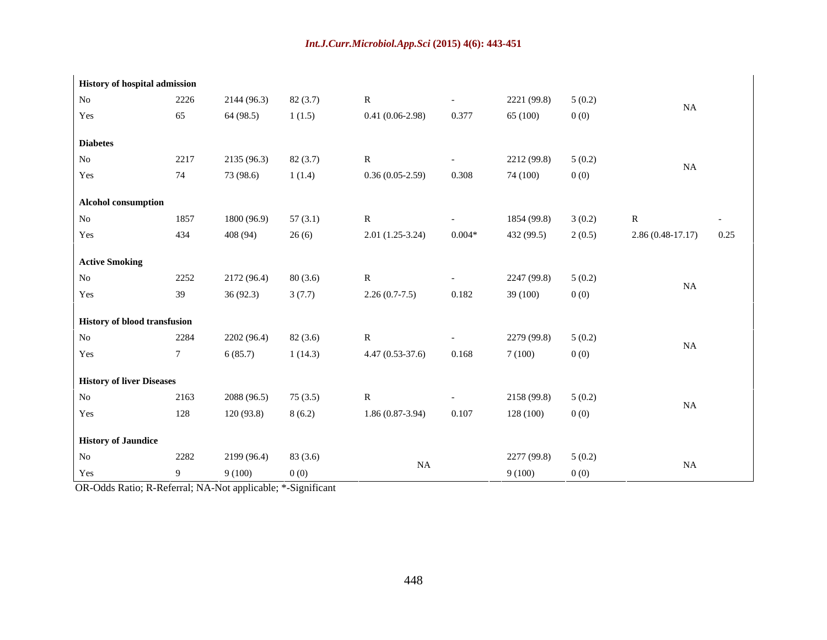| <b>History of hospital admission</b> |      |                      |          |                         |          |                      |        |                         |                      |  |
|--------------------------------------|------|----------------------|----------|-------------------------|----------|----------------------|--------|-------------------------|----------------------|--|
| <b>No</b>                            | 2226 | 2144 (96.3)          | 82(3.7)  |                         | $\sim$   | 2221 (99.8)          | 5(0.2) |                         |                      |  |
| Yes                                  | 65   | 64 (98.5)            | 1(1.5)   | $0.41(0.06-2.98)$       | 0.377    | 65 (100)             | 0(0)   | NA                      |                      |  |
| <b>Diabetes</b>                      |      |                      |          |                         |          |                      |        |                         |                      |  |
| N <sub>o</sub>                       | 2217 | 2135(96.3)           | 82(3.7)  |                         | $\sim$   | $2212(99.8)$ 5 (0.2) |        |                         |                      |  |
| Yes                                  | 74   | 73 (98.6)            | 1(1.4)   | $0.36(0.05-2.59)$       | 0.308    | 74 (100)             | 0(0)   | NA                      |                      |  |
|                                      |      |                      |          |                         |          |                      |        |                         |                      |  |
| Alcohol consumption                  |      |                      |          |                         |          |                      |        |                         |                      |  |
| <b>No</b>                            | 1857 | 1800 (96.9)          | 57(3.1)  |                         | $\sim$   | 1854 (99.8)          | 3(0.2) |                         | $\sim 100$ m $^{-1}$ |  |
| Yes                                  | 434  | 408 (94)             | 26(6)    | $2.01(1.25-3.24)$       | $0.004*$ | 432 (99.5)           | 2(0.5) | $2.86(0.48-17.17)$ 0.25 |                      |  |
| <b>Active Smoking</b>                |      |                      |          |                         |          |                      |        |                         |                      |  |
| N <sub>o</sub>                       | 2252 | 2172(96.4)           | 80 (3.6) |                         | $\sim$   | 2247 (99.8)          | 5(0.2) |                         |                      |  |
|                                      |      |                      |          |                         |          |                      |        | NA                      |                      |  |
| Yes                                  | 39   | 36 (92.3)            | 3(7.7)   | $2.26(0.7-7.5)$         | 0.182    | 39 (100)             | 0(0)   |                         |                      |  |
| <b>History of blood transfusion</b>  |      |                      |          |                         |          |                      |        |                         |                      |  |
| <b>No</b>                            | 2284 | 2202(96.4)           | 82(3.6)  |                         |          | 2279 (99.8)          | 5(0.2) |                         |                      |  |
| Yes                                  |      | 6(85.7)              | 1(14.3)  | $4.47(0.53-37.6)$ 0.168 |          | 7(100)               | 0(0)   | NA                      |                      |  |
|                                      |      |                      |          |                         |          |                      |        |                         |                      |  |
| <b>History of liver Diseases</b>     |      |                      |          |                         |          |                      |        |                         |                      |  |
| No                                   | 2163 | 2088 (96.5)          | 75(3.5)  |                         |          | $2158(99.8)$ 5 (0.2) |        | NA                      |                      |  |
| Yes                                  | 128  | 120 (93.8)           | 8(6.2)   | $1.86(0.87-3.94)$       | 0.107    | 128 (100)            | 0(0)   |                         |                      |  |
| <b>History of Jaundice</b>           |      |                      |          |                         |          |                      |        |                         |                      |  |
| No                                   | 2282 | $2199(96.4)$ 83(3.6) |          |                         |          | $2277(99.8)$ 5 (0.2) |        |                         |                      |  |
| Yes                                  |      | 9(100)               | 0(0)     | NA                      |          | 9(100)               | 0(0)   | NA                      |                      |  |

OR-Odds Ratio; R-Referral; NA-Not applicable; \*-Significant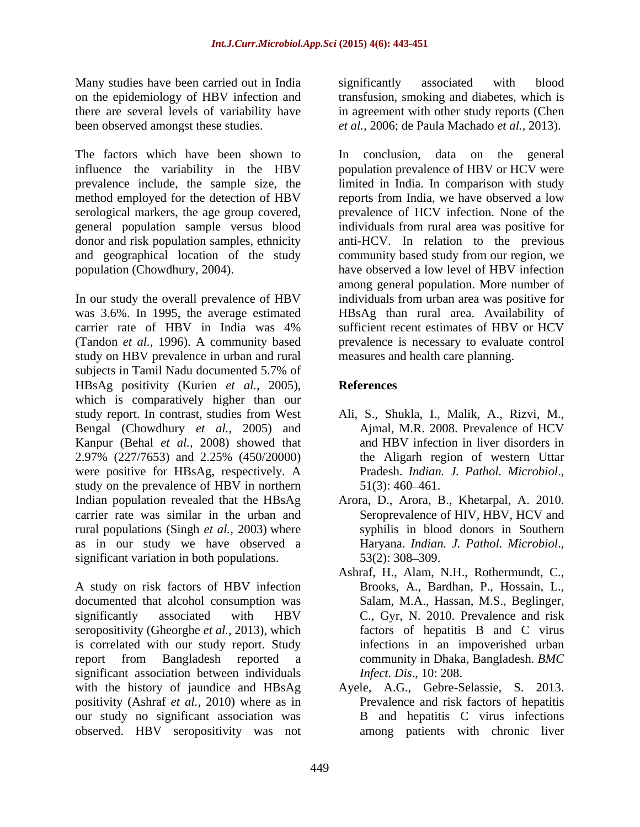Many studies have been carried out in India significantly associated with blood on the epidemiology of HBV infection and

The factors which have been shown to In conclusion, data on the general serological markers, the age group covered, general population sample versus blood

(Tandon *et al.*, 1996). A community based study on HBV prevalence in urban and rural subjects in Tamil Nadu documented 5.7% of HBsAg positivity (Kurien *et al.,* 2005), which is comparatively higher than our study report. In contrast, studies from West Bengal (Chowdhury *et al.,* 2005) and Kanpur (Behal *et al.,* 2008) showed that 2.97% (227/7653) and 2.25% (450/20000) were positive for HBsAg, respectively. A Pradesh. *Indian. J. Pathol. Microbiol.*, study on the prevalence of HBV in northern 51(3): 460–461. Indian population revealed that the HBsAg Arora, D., Arora, B., Khetarpal, A. 2010. carrier rate was similar in the urban and rural populations (Singh *et al.,* 2003) where as in our study we have observed a Haryana. Indian. J. Pathol. Microbiol., significant variation in both populations. 53(2): 308–309.

A study on risk factors of HBV infection Brooks, A., Bardhan, P., Hossain, L., documented that alcohol consumption was Salam, M.A., Hassan, M.S., Beglinger, significantly associated with HBV C., Gyr, N. 2010. Prevalence and risk seropositivity (Gheorghe *et al.,* 2013), which is correlated with our study report. Study report from Bangladesh reported a community in Dhaka, Bangladesh. *BMC*  significant association between individuals with the history of jaundice and HBsAg positivity (Ashraf *et al.,* 2010) where as in our study no significant association was observed. HBV seropositivity was not

there are several levels of variability have in agreement with other study reports (Chen been observed amongst these studies. *et al.,* 2006; de Paula Machado *et al.,* 2013). significantly associated with blood transfusion, smoking and diabetes, which is

influence the variability in the HBV population prevalence of HBV or HCV were prevalence include, the sample size, the limited in India. In comparison with study method employed for the detection of HBV reports from India, we have observed a low donor and risk population samples, ethnicity anti-HCV. In relation to the previous and geographical location of the study community based study from our region, we population (Chowdhury, 2004). have observed a low level of HBV infection In our study the overall prevalence of HBV individuals from urban area was positive for was 3.6%. In 1995, the average estimated HBsAg than rural area. Availability of carrier rate of HBV in India was 4% sufficient recent estimates of HBV or HCV In conclusion, data on the general prevalence of HCV infection. None of the individuals from rural area was positive for among general population. More number of sufficient recent estimates of HBV or HCV prevalence is necessary to evaluate control measures and health care planning.

## **References**

- Ali, S., Shukla, I., Malik, A., Rizvi, M., Ajmal, M.R. 2008. Prevalence of HCV and HBV infection in liver disorders in the Aligarh region of western Uttar Pradesh. *Indian. J. Pathol. Microbiol*., 51(3): 460 461.
- Seroprevalence of HIV, HBV, HCV and syphilis in blood donors in Southern Haryana. *Indian. J. Pathol. Microbiol*., 53(2): 308 309.
- Ashraf, H., Alam, N.H., Rothermundt, C., C., Gyr, N. 2010. Prevalence and risk factors of hepatitis B and C virus infections in an impoverished urban *Infect. Dis*., 10: 208.
- Ayele, A.G., Gebre-Selassie, S. 2013. Prevalence and risk factors of hepatitis B and hepatitis C virus infections among patients with chronic liver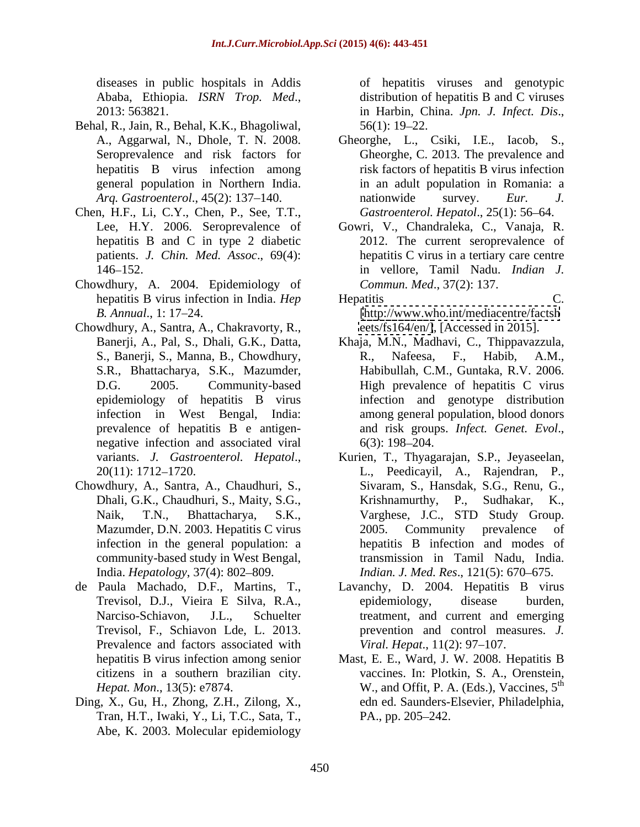- Behal, R., Jain, R., Behal, K.K., Bhagoliwal,
- Chen, H.F., Li, C.Y., Chen, P., See, T.T., patients. *J. Chin. Med. Assoc*., 69(4):
- Chowdhury, A. 2004. Epidemiology of
- Chowdhury, A., Santra, A., Chakravorty, R., epidemiology of hepatitis B virus negative infection and associated viral 6(3): 198–204.
- Chowdhury, A., Santra, A., Chaudhuri, S., infection in the general population: a community-based study in West Bengal,
- Prevalence and factors associated with
- Ding, X., Gu, H., Zhong, Z.H., Zilong, X., Tran, H.T., Iwaki, Y., Li, T.C., Sata, T., Abe, K. 2003. Molecular epidemiology

diseases in public hospitals in Addis of hepatitis viruses and genotypic Ababa, Ethiopia. *ISRN Trop. Med*., 2013: 563821. distribution of hepatitis B and C viruses in Harbin, China. *Jpn. J. Infect. Dis*., 56(1): 19 22.

- A., Aggarwal, N., Dhole, T. N. 2008. Gheorghe, L., Csiki, I.E., Iacob, S., Seroprevalence and risk factors for Gheorghe, C. 2013. The prevalence and hepatitis B virus infection among risk factors of hepatitis B virus infection general population in Northern India. in an adult population in Romania: a *Arg. Gastroenterol.*, 45(2): 137–140. **and nationwide survey**. *Eur. J.* nationwide survey. *Eur. J. Gastroenterol. Hepatol., 25(1): 56-64.*
- Lee, H.Y. 2006. Seroprevalence of Gowri, V., Chandraleka, C., Vanaja, R. hepatitis B and C in type 2 diabetic 2012. The current seroprevalence of 146 152. in vellore, Tamil Nadu. *Indian J.* hepatitis C virus in a tertiary care centre *Commun. Med*., 37(2): 137.
- hepatitis B virus infection in India. *Hep Hepatitis* C. *B. Annual*., 1: 17 24. [\[http://www.who.int/mediacentre/factsh](http://www.who.int/mediacentre/factsh) Hepatitis C. [eets/fs164/en/\]](eets/fs164/en/]), [Accessed in 2015].
- Banerji, A., Pal, S., Dhali, G.K., Datta, Khaja, M.N., Madhavi, C., Thippavazzula, S., Banerji, S., Manna, B., Chowdhury, R., Nafeesa, F., Habib, A.M., S.R., Bhattacharya, S.K., Mazumder, Habibullah, C.M., Guntaka, R.V. 2006. D.G. 2005. Community-based High prevalence of hepatitis C virus infection in West Bengal, India: among general population, blood donors prevalence of hepatitis B e antigen-<br>and risk groups. Infect. Genet. Evol., R., Nafeesa, F., Habib, A.M., infection and genotype distribution and risk groups. *Infect. Genet. Evol*., 6(3): 198 204.
- variants. *J. Gastroenterol. Hepatol.*, Kurien, T., Thyagarajan, S.P., Jeyaseelan, 20(11): 1712–1720. L., Peedicayil, A., Rajendran, P., Dhali, G.K., Chaudhuri, S., Maity, S.G., Krishnamurthy, P., Sudhakar, K., Naik, T.N., Bhattacharya, S.K., Varghese, J.C., STD Study Group. Mazumder, D.N. 2003. Hepatitis C virus 2005. Community prevalence of India. *Hepatology*, 37(4): 802 809. *Indian. J. Med. Res*., 121(5): 670 675. Kurien, T., Thyagarajan, S.P., Jeyaseelan, L., Peedicayil, A., Rajendran, P., Sivaram, S., Hansdak, S.G., Renu, G., Krishnamurthy,  $P_{\cdot}$ , 2005. Community prevalence of hepatitis B infection and modes of transmission in Tamil Nadu, India.
- de Paula Machado, D.F., Martins, T., Lavanchy, D. 2004. Hepatitis B virus Trevisol, D.J., Vieira E Silva, R.A., Narciso-Schiavon, J.L., Schuelter treatment, and current and emerging Trevisol, F., Schiavon Lde, L. 2013. prevention and control measures.*J.*  epidemiology, disease burden, *Viral. Hepat.,* 11(2): 97–107.
	- hepatitis B virus infection among senior Mast, E. E., Ward, J. W. 2008. Hepatitis B citizens in a southern brazilian city. vaccines. In: Plotkin, S. A., Orenstein, *Hepat. Mon.*, 13(5): e7874. **W., and Offit, P. A. (Eds.), Vaccines, 5<sup>th</sup>** edn ed. Saunders-Elsevier, Philadelphia, PA., pp. 205–242.